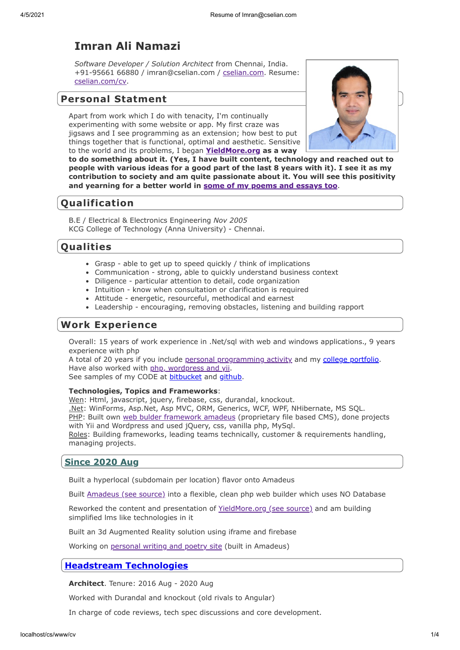# **Imran Ali Namazi**

*Software Developer / Solution Architect* from Chennai, India. +91-95661 66880 / imran@cselian.com / [cselian.com.](https://cselian.com/) Resume: [cselian.com/cv](https://cselian.com/cv).

## **Personal Statment**

Apart from work which I do with tenacity, I'm continually experimenting with some website or app. My first craze was jigsaws and I see programming as an extension; how best to put things together that is functional, optimal and aesthetic. Sensitive to the world and its problems, I began **[YieldMore.org](https://yieldmore.org/) as a way**



**to do something about it. (Yes, I have built content, technology and reached out to people with various ideas for a good part of the last 8 years with it). I see it as my contribution to society and am quite passionate about it. You will see this positivity and yearning for a better world in [some of my poems and essays too](https://imran.yieldmore.org/)**.

# **Qualification**

B.E / Electrical & Electronics Engineering *Nov 2005* KCG College of Technology (Anna University) - Chennai.

## **Qualities**

- Grasp able to get up to speed quickly / think of implications
- Communication strong, able to quickly understand business context
- Diligence particular attention to detail, code organization
- Intuition know when consultation or clarification is required
- Attitude energetic, resourceful, methodical and earnest
- Leadership encouraging, removing obstacles, listening and building rapport

## **Work Experience**

Overall: 15 years of work experience in .Net/sql with web and windows applications., 9 years experience with php

A total of 20 years if you include [personal programming activity](https://cselian.com/apps/about) and my [college portfolio](https://cselian.com/imran/documents/Imran_Portfolio_Software.pdf). Have also worked with [php, wordpress and yii.](https://bitbucket.org/yieldmore/)

See samples of my CODE at [bitbucket](https://bitbucket.org/ianamazi/) and [github.](https://github.com/ImranCS/)

## **Technologies, Topics and Frameworks**:

Wen: Html, javascript, jquery, firebase, css, durandal, knockout.

.Net: WinForms, Asp.Net, Asp MVC, ORM, Generics, WCF, WPF, NHibernate, MS SQL. PHP: Built own [web bulder framework amadeus](https://amadeus.panishq.com/) (proprietary file based CMS), done projects with Yii and Wordpress and used jQuery, css, vanilla php, MySql.

Roles: Building frameworks, leading teams technically, customer & requirements handling, managing projects.

## **Since 2020 Aug**

Built a hyperlocal (subdomain per location) flavor onto Amadeus

Built [Amadeus \(see source\)](https://bitbucket.org/yieldmore/amadeus/src/1.1/) into a flexible, clean php web builder which uses NO Database

Reworked the content and presentation of [YieldMore.org \(see source\)](https://bitbucket.org/yieldmore/yieldmore-amadeus/src) and am building simplified lms like technologies in it

Built an 3d Augmented Reality solution using iframe and firebase

Working on [personal writing and poetry site](https://imran.yieldmore.org/) (built in Amadeus)

## **[Headstream Technologies](http://headstreamtech.com/)**

**Architect**. Tenure: 2016 Aug - 2020 Aug

Worked with Durandal and knockout (old rivals to Angular)

In charge of code reviews, tech spec discussions and core development.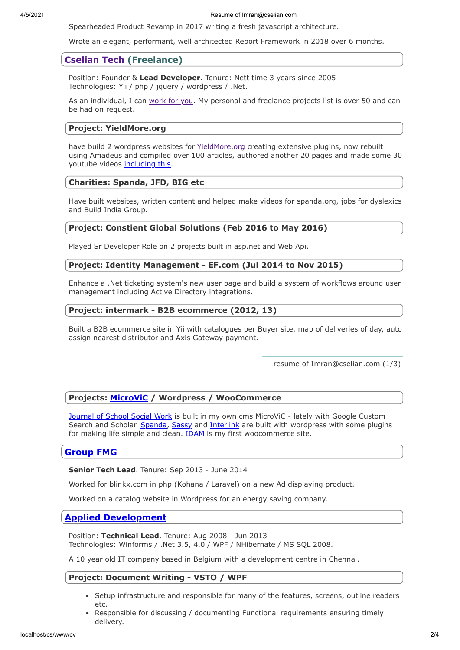4/5/2021 Resume of Imran@cselian.com

Spearheaded Product Revamp in 2017 writing a fresh javascript architecture.

Wrote an elegant, performant, well architected Report Framework in 2018 over 6 months.

## **[Cselian Tech](https://cselian.com/) (Freelance)**

Position: Founder & **Lead Developer**. Tenure: Nett time 3 years since 2005 Technologies: Yii / php / jquery / wordpress / .Net.

As an individual, I can [work for you](https://cselian.com/). My personal and freelance projects list is over 50 and can be had on request.

#### **Project: YieldMore.org**

have build 2 wordpress websites for [YieldMore.org](https://yieldmore.org/) creating extensive plugins, now rebuilt using Amadeus and compiled over 100 articles, authored another 20 pages and made some 30 youtube videos [including this.](https://legacy.yieldmore.org/video)

### **Charities: Spanda, JFD, BIG etc**

Have built websites, written content and helped make videos for spanda.org, jobs for dyslexics and Build India Group.

## **Project: Constient Global Solutions (Feb 2016 to May 2016)**

Played Sr Developer Role on 2 projects built in asp.net and Web Api.

### **Project: Identity Management - EF.com (Jul 2014 to Nov 2015)**

Enhance a .Net ticketing system's new user page and build a system of workflows around user management including Active Directory integrations.

### **Project: intermark - B2B ecommerce (2012, 13)**

Built a B2B ecommerce site in Yii with catalogues per Buyer site, map of deliveries of day, auto assign nearest distributor and Axis Gateway payment.

resume of Imran@cselian.com (1/3)

## **Projects: [MicroViC](https://github.com/ImranCS/MicroVC) / Wordpress / WooCommerce**

[Journal of School Social Work](https://jsswindia.com/) is built in my own cms MicroViC - lately with Google Custom Search and Scholar. [Spanda](https://spanda.org/new), [Sassy](https://sassymediagroup.com/) and [Interlink](https://iscindia.net/) are built with wordpress with some plugins for making life simple and clean. [IDAM](https://idamlifestyle.com/) is my first woocommerce site.

## **[Group FMG](https://groupfmg.com/)**

**Senior Tech Lead**. Tenure: Sep 2013 - June 2014

Worked for blinkx.com in php (Kohana / Laravel) on a new Ad displaying product.

Worked on a catalog website in Wordpress for an energy saving company.

## **[Applied Development](https://appdev.be/)**

Position: **Technical Lead**. Tenure: Aug 2008 - Jun 2013 Technologies: Winforms / .Net 3.5, 4.0 / WPF / NHibernate / MS SQL 2008.

A 10 year old IT company based in Belgium with a development centre in Chennai.

## **Project: Document Writing - VSTO / WPF**

- Setup infrastructure and responsible for many of the features, screens, outline readers etc.
- Responsible for discussing / documenting Functional requirements ensuring timely delivery.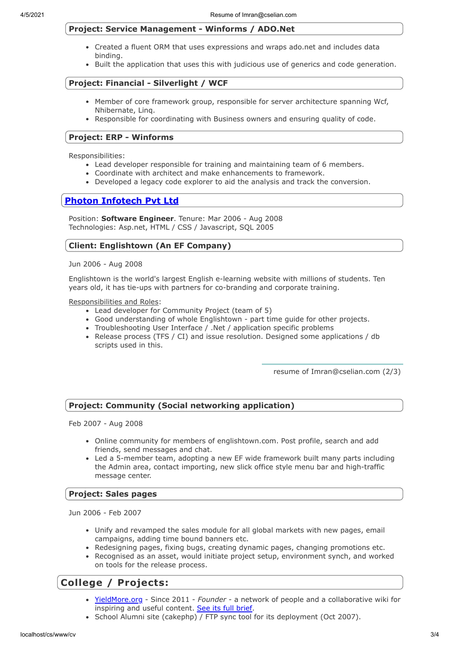#### **Project: Service Management - Winforms / ADO.Net**

- Created a fluent ORM that uses expressions and wraps ado.net and includes data binding.
- Built the application that uses this with judicious use of generics and code generation.

#### **Project: Financial - Silverlight / WCF**

- Member of core framework group, responsible for server architecture spanning Wcf, Nhibernate, Linq.
- Responsible for coordinating with Business owners and ensuring quality of code.

#### **Project: ERP - Winforms**

Responsibilities:

- Lead developer responsible for training and maintaining team of 6 members.
- Coordinate with architect and make enhancements to framework.
- Developed a legacy code explorer to aid the analysis and track the conversion.

## **[Photon Infotech Pvt Ltd](https://photon.in/)**

Position: **Software Engineer**. Tenure: Mar 2006 - Aug 2008 Technologies: Asp.net, HTML / CSS / Javascript, SQL 2005

#### **Client: Englishtown (An EF Company)**

Jun 2006 - Aug 2008

Englishtown is the world's largest English e-learning website with millions of students. Ten years old, it has tie-ups with partners for co-branding and corporate training.

Responsibilities and Roles:

- Lead developer for Community Project (team of 5)
- Good understanding of whole Englishtown part time guide for other projects.
- Troubleshooting User Interface / .Net / application specific problems
- Release process (TFS / CI) and issue resolution. Designed some applications / db scripts used in this.

resume of Imran@cselian.com (2/3)

#### **Project: Community (Social networking application)**

Feb 2007 - Aug 2008

- Online community for members of englishtown.com. Post profile, search and add friends, send messages and chat.
- Led a 5-member team, adopting a new EF wide framework built many parts including the Admin area, contact importing, new slick office style menu bar and high-traffic message center.

#### **Project: Sales pages**

Jun 2006 - Feb 2007

- Unify and revamped the sales module for all global markets with new pages, email campaigns, adding time bound banners etc.
- Redesigning pages, fixing bugs, creating dynamic pages, changing promotions etc.
- Recognised as an asset, would initiate project setup, environment synch, and worked on tools for the release process.

## **College / Projects:**

- [YieldMore.org](https://yieldmore.org/about)  Since 2011 *Founder* a network of people and a collaborative wiki for inspiring and useful content. [See its full brief](https://yieldmore.org/about).
- School Alumni site (cakephp) / FTP sync tool for its deployment (Oct 2007).